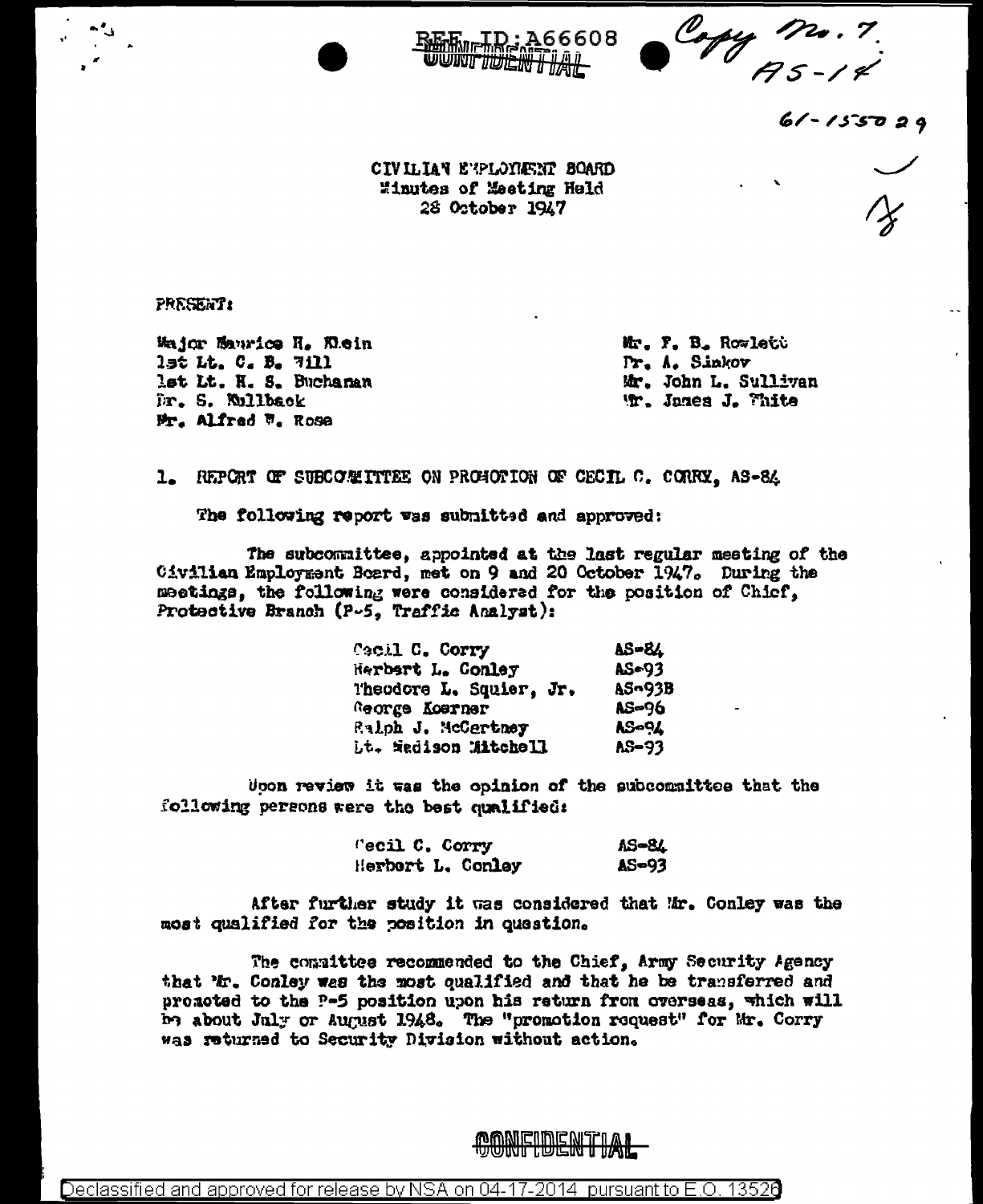

 $61 - 155029$ 

CIVILIAN ENPLOYMENT BOARD Minutes of Meeting Held 28 October 1947

**A66608** 

**PRESENT:** 

Major Maurice H. Wein 1st Lt. C. B. 7111 lst Lt. H. S. Buchanan Dr. S. Mullback Mr. Alfred W. Rose

Mr. F. B. Rowlett Pr. A. Sinkov Mr. John L. Sullivan Wr. James J. Thite

1. REPORT OF SUBCOMMITTEE ON PROGOTION OF CECIL C. CORRY. AS-84

The following report was submitted and approved:

The subcommittee, appointed at the last regular meeting of the Civilian Employment Board, met on 9 and 20 October 1947. During the meetings, the following were considered for the position of Chicf, Protective Branch (P-5, Traffic Analyst):

| <b><i>Cacil C. Corry</i></b> | <b>AS-84</b>  |
|------------------------------|---------------|
| <b>Herbart L. Conley</b>     | AS=93         |
| Theodore L. Squier, Jr.      | <b>AS-93B</b> |
| George Koerner               | <b>AS-96</b>  |
| Ralph J. McCertney           | AS-94         |
| <b>Lt. Wadison Mitchell</b>  | AS-93         |

Upon review it was the opinion of the subcommittee that the following persons were the best qualified:

> "ecil C. Corry **AS-84** Herbort L. Conley  $AS = 93$

After further study it was considered that Mr. Conley was the most qualified for the position in question.

The committee recommended to the Chief, Army Security Agency that 'tr. Conley was the most qualified and that he be transferred and promoted to the P-5 position upon his return from overseas, which will be about July or August 1948. The "promotion request" for Mr. Corry was returned to Security Division without action.